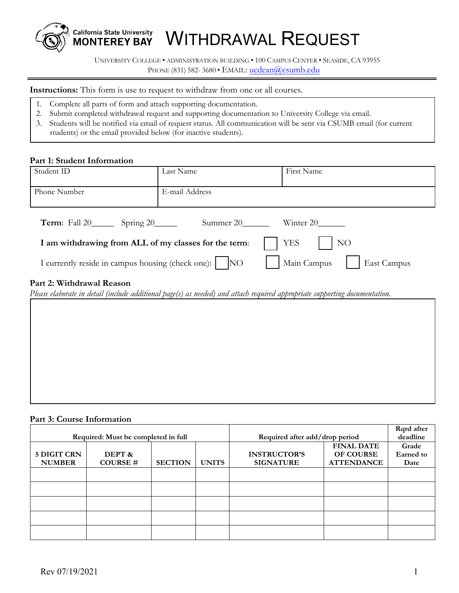

WITHDRAWAL REQUEST

UNIVERSITY COLLEGE • ADMINISTRATION BUILDING • 100 CAMPUS CENTER • SEASIDE, CA 93955 PHONE (831) 582-3680 • EMAIL: [ucdean@csumb.ed](mailto:ucdean@csumb.edu)u

**Instructions:** This form is use to request to withdraw from one or all courses.

- 1. Complete all parts of form and attach supporting documentation.
- 2. Submit completed withdrawal request and supporting documentation to University College via email.
- 3. Students will be notified via email of request status. All communication will be sent via CSUMB email (for current students) or the email provided below (for inactive students).

#### **Part 1: Student Information**

| Student ID                                                                                                                  | Last Name      | First Name |  |  |  |
|-----------------------------------------------------------------------------------------------------------------------------|----------------|------------|--|--|--|
| Phone Number                                                                                                                | E-mail Address |            |  |  |  |
| <b>Term:</b> Fall $20$ Spring $20$                                                                                          | Summer 20      | Winter 20  |  |  |  |
| <b>YES</b><br>NO<br>I am withdrawing from ALL of my classes for the term:                                                   |                |            |  |  |  |
| I currently reside in campus housing (check one):   NO<br>Main Campus<br>East Campus                                        |                |            |  |  |  |
| Part 2: Withdrawal Reason                                                                                                   |                |            |  |  |  |
| Please elaborate in detail (include additional page(s) as needed) and attach required appropriate supporting documentation. |                |            |  |  |  |
|                                                                                                                             |                |            |  |  |  |

#### **Part 3: Course Information**

|                                     |                |                                |              |                     |                   | Rqrd after |
|-------------------------------------|----------------|--------------------------------|--------------|---------------------|-------------------|------------|
| Required: Must be completed in full |                | Required after add/drop period |              | deadline            |                   |            |
|                                     |                |                                |              |                     | <b>FINAL DATE</b> | Grade      |
| 5 DIGIT CRN                         | DEPT &         |                                |              | <b>INSTRUCTOR'S</b> | <b>OF COURSE</b>  | Earned to  |
| <b>NUMBER</b>                       | <b>COURSE#</b> | <b>SECTION</b>                 | <b>UNITS</b> | <b>SIGNATURE</b>    | <b>ATTENDANCE</b> | Date       |
|                                     |                |                                |              |                     |                   |            |
|                                     |                |                                |              |                     |                   |            |
|                                     |                |                                |              |                     |                   |            |
|                                     |                |                                |              |                     |                   |            |
|                                     |                |                                |              |                     |                   |            |
|                                     |                |                                |              |                     |                   |            |
|                                     |                |                                |              |                     |                   |            |
|                                     |                |                                |              |                     |                   |            |
|                                     |                |                                |              |                     |                   |            |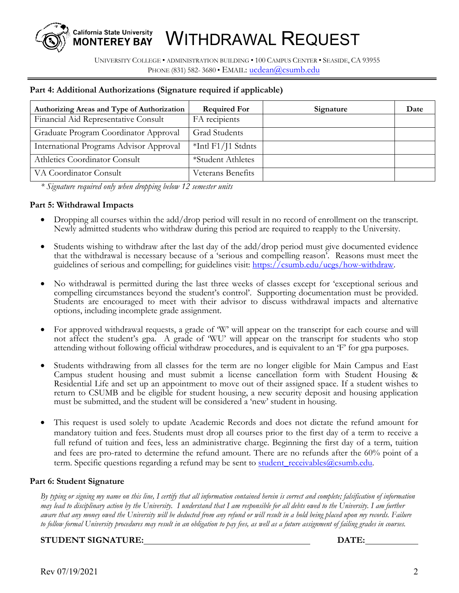# WITHDRAWAL REQUEST

 UNIVERSITY COLLEGE • ADMINISTRATION BUILDING • 100 CAMPUS CENTER • SEASIDE, CA 93955 PHONE (831) 582-3680 • EMAIL: [ucdean@csumb.ed](mailto:ucgs@csumb.edu)u

## **Part 4: Additional Authorizations (Signature required if applicable)**

**California State University MONTEREY BAY** 

| Authorizing Areas and Type of Authorization | <b>Required For</b> | Signature | Date |
|---------------------------------------------|---------------------|-----------|------|
| Financial Aid Representative Consult        | FA recipients       |           |      |
| Graduate Program Coordinator Approval       | Grad Students       |           |      |
| International Programs Advisor Approval     | $*Int$ F1/J1 Stdnts |           |      |
| Athletics Coordinator Consult               | *Student Athletes   |           |      |
| VA Coordinator Consult                      | Veterans Benefits   |           |      |

*\* Signature required only when dropping below 12 semester units*

#### **Part 5: Withdrawal Impacts**

- Dropping all courses within the add/drop period will result in no record of enrollment on the transcript. Newly admitted students who withdraw during this period are required to reapply to the University.
- Students wishing to withdraw after the last day of the add/drop period must give documented evidence that the withdrawal is necessary because of a 'serious and compelling reason'. Reasons must meet the guidelines of serious and compelling; for guidelines visit: [https://csumb.edu/ucgs/how-withdraw.](https://csumb.edu/ucgs/how-withdraw)
- No withdrawal is permitted during the last three weeks of classes except for 'exceptional serious and compelling circumstances beyond the student's control'. Supporting documentation must be provided. Students are encouraged to meet with their advisor to discuss withdrawal impacts and alternative options, including incomplete grade assignment.
- For approved withdrawal requests, a grade of 'W' will appear on the transcript for each course and will not affect the student's gpa. A grade of 'WU' will appear on the transcript for students who stop attending without following official withdraw procedures, and is equivalent to an 'F' for gpa purposes.
- Students withdrawing from all classes for the term are no longer eligible for Main Campus and East Campus student housing and must submit a license cancellation form with Student Housing & Residential Life and set up an appointment to move out of their assigned space. If a student wishes to return to CSUMB and be eligible for student housing, a new security deposit and housing application must be submitted, and the student will be considered a 'new' student in housing.
- This request is used solely to update Academic Records and does not dictate the refund amount for mandatory tuition and fees. Students must drop all courses prior to the first day of a term to receive a full refund of tuition and fees, less an administrative charge. Beginning the first day of a term, tuition and fees are pro-rated to determine the refund amount. There are no refunds after the 60% point of a term. Specific questions regarding a refund may be sent to student receivables@csumb.edu.

## **Part 6: Student Signature**

*By typing or signing my name on this line, I certify that all information contained herein is correct and complete; falsification of information may lead to disciplinary action by the University. I understand that I am responsible for all debts owed to the University. I am further aware that any money owed the University will be deducted from any refund or will result in a hold being placed upon my records. Failure to follow formal University procedures may result in an obligation to pay fees, as well as a future assignment of failing grades in courses.* 

### **STUDENT SIGNATURE: DATE:**